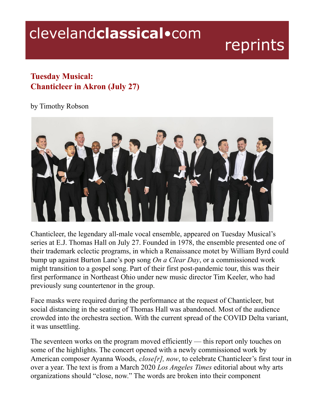## clevelandclassical.com

## reprints

## **Tuesday Musical: Chanticleer in Akron (July 27)**

## by Timothy Robson



Chanticleer, the legendary all-male vocal ensemble, appeared on Tuesday Musical's series at E.J. Thomas Hall on July 27. Founded in 1978, the ensemble presented one of their trademark eclectic programs, in which a Renaissance motet by William Byrd could bump up against Burton Lane's pop song *On a Clear Day*, or a commissioned work might transition to a gospel song. Part of their first post-pandemic tour, this was their first performance in Northeast Ohio under new music director Tim Keeler, who had previously sung countertenor in the group.

Face masks were required during the performance at the request of Chanticleer, but social distancing in the seating of Thomas Hall was abandoned. Most of the audience crowded into the orchestra section. With the current spread of the COVID Delta variant, it was unsettling.

The seventeen works on the program moved efficiently — this report only touches on some of the highlights. The concert opened with a newly commissioned work by American composer Ayanna Woods, *close[r], now*, to celebrate Chanticleer's first tour in over a year. The text is from a March 2020 *Los Angeles Times* editorial about why arts organizations should "close, now." The words are broken into their component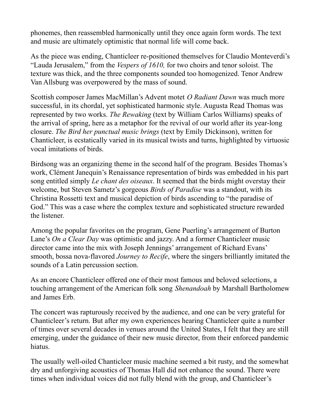phonemes, then reassembled harmonically until they once again form words. The text and music are ultimately optimistic that normal life will come back.

As the piece was ending, Chanticleer re-positioned themselves for Claudio Monteverdi's "Lauda Jerusalem," from the *Vespers of 1610,* for two choirs and tenor soloist. The texture was thick, and the three components sounded too homogenized. Tenor Andrew Van Allsburg was overpowered by the mass of sound.

Scottish composer James MacMillan's Advent motet *O Radiant Dawn* was much more successful, in its chordal, yet sophisticated harmonic style. Augusta Read Thomas was represented by two works. *The Rewaking* (text by William Carlos Williams) speaks of the arrival of spring, here as a metaphor for the revival of our world after its year-long closure. *The Bird her punctual music brings* (text by Emily Dickinson), written for Chanticleer, is ecstatically varied in its musical twists and turns, highlighted by virtuosic vocal imitations of birds.

Birdsong was an organizing theme in the second half of the program. Besides Thomas's work, Clément Janequin's Renaissance representation of birds was embedded in his part song entitled simply *Le chant des oiseaux*. It seemed that the birds might overstay their welcome, but Steven Sametz's gorgeous *Birds of Paradise* was a standout, with its Christina Rossetti text and musical depiction of birds ascending to "the paradise of God." This was a case where the complex texture and sophisticated structure rewarded the listener.

Among the popular favorites on the program, Gene Puerling's arrangement of Burton Lane's *On a Clear Day* was optimistic and jazzy. And a former Chanticleer music director came into the mix with Joseph Jennings' arrangement of Richard Evans' smooth, bossa nova-flavored *Journey to Recife*, where the singers brilliantly imitated the sounds of a Latin percussion section.

As an encore Chanticleer offered one of their most famous and beloved selections, a touching arrangement of the American folk song *Shenandoah* by Marshall Bartholomew and James Erb.

The concert was rapturously received by the audience, and one can be very grateful for Chanticleer's return. But after my own experiences hearing Chanticleer quite a number of times over several decades in venues around the United States, I felt that they are still emerging, under the guidance of their new music director, from their enforced pandemic hiatus.

The usually well-oiled Chanticleer music machine seemed a bit rusty, and the somewhat dry and unforgiving acoustics of Thomas Hall did not enhance the sound. There were times when individual voices did not fully blend with the group, and Chanticleer's